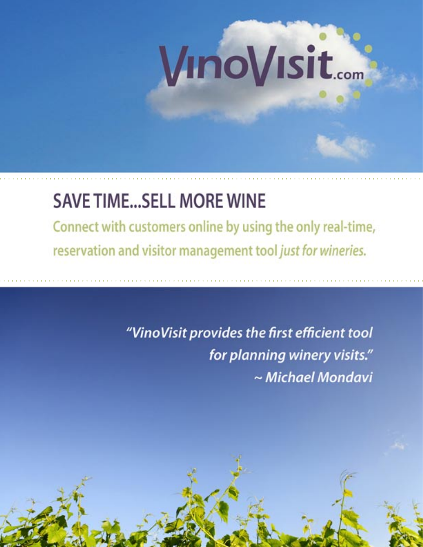# VinoVisit...

## **SAVE TIME...SELL MORE WINE**

Connect with customers online by using the only real-time, reservation and visitor management tool just for wineries.

> "VinoVisit provides the first efficient tool for planning winery visits." ~ Michael Mondavi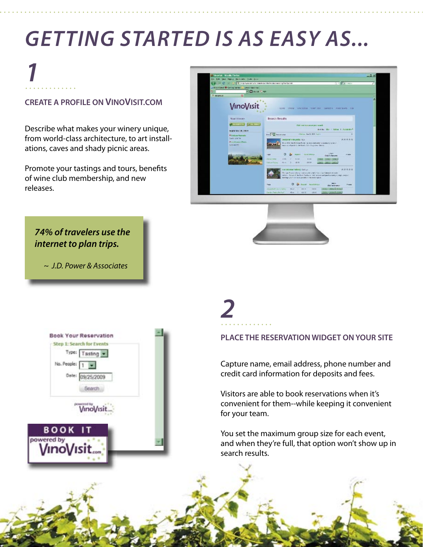## **GETTING STARTED IS AS EASY AS...**

## **1**

### **CREATE A PROFILE ON VINOVISIT.COM**

Describe what makes your winery unique, from world-class architecture, to art installations, caves and shady picnic areas.

Promote your tastings and tours, benefits of wine club membership, and new releases.





**74% of travelers use the internet to plan trips.** 

~ J.D. Power & Associates



**2**

#### **PLACE THE RESERVATION WIDGET ON YOUR SITE**

Capture name, email address, phone number and credit card information for deposits and fees.

Visitors are able to book reservations when it's convenient for them--while keeping it convenient for your team.

You set the maximum group size for each event, and when they're full, that option won't show up in search results.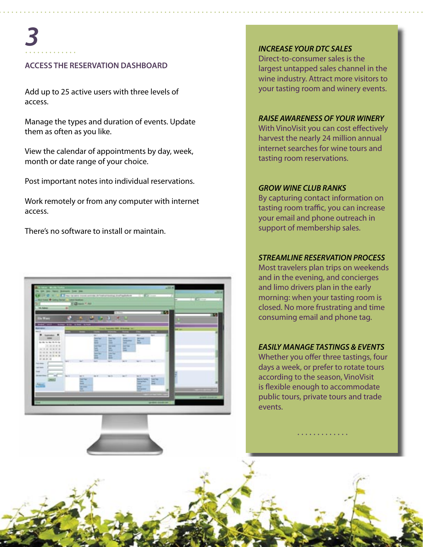#### **ACCESS THE RESERVATION DASHBOARD**

Add up to 25 active users with three levels of access.

Manage the types and duration of events. Update them as often as you like.

View the calendar of appointments by day, week, month or date range of your choice.

Post important notes into individual reservations.

Work remotely or from any computer with internet access.

There's no software to install or maintain.



#### **INCREASE YOUR DTC SALES**

Direct-to-consumer sales is the largest untapped sales channel in the wine industry. Attract more visitors to your tasting room and winery events.

#### **RAISE AWARENESS OF YOUR WINERY**

With VinoVisit you can cost effectively harvest the nearly 24 million annual internet searches for wine tours and tasting room reservations.

#### **GROW WINE CLUB RANKS**

By capturing contact information on tasting room traffic, you can increase your email and phone outreach in support of membership sales.

#### **STREAMLINE RESERVATION PROCESS**

Most travelers plan trips on weekends and in the evening, and concierges and limo drivers plan in the early morning: when your tasting room is closed. No more frustrating and time consuming email and phone tag.

#### **EASILY MANAGE TASTINGS & EVENTS**

Whether you offer three tastings, four days a week, or prefer to rotate tours according to the season, VinoVisit is flexible enough to accommodate public tours, private tours and trade events.